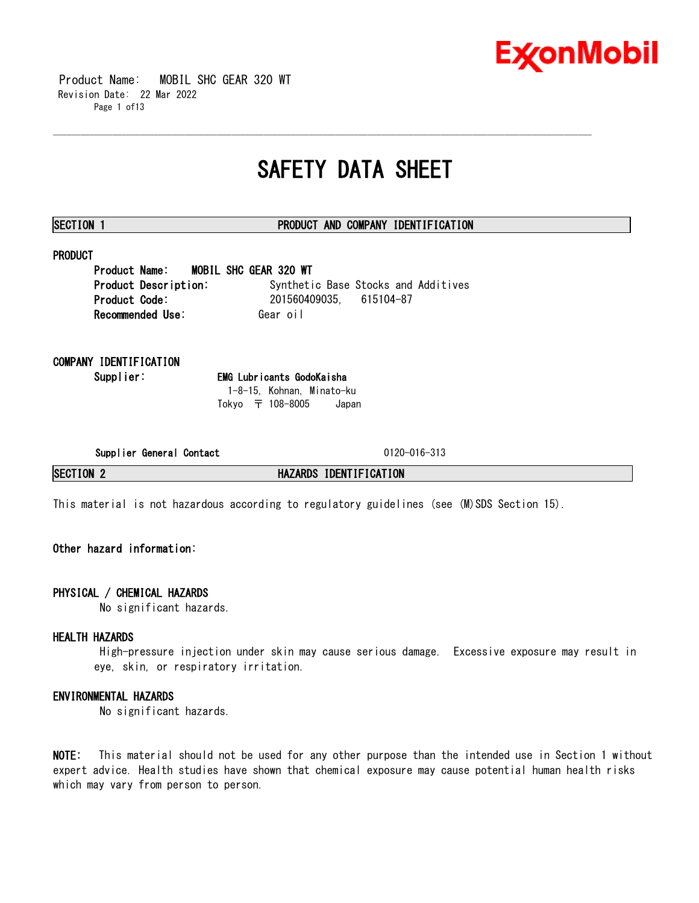

 Product Name: MOBIL SHC GEAR 320 WT Revision Date: 22 Mar 2022 Page 1 of13

## **SAFETY DATA SHEET**

\_\_\_\_\_\_\_\_\_\_\_\_\_\_\_\_\_\_\_\_\_\_\_\_\_\_\_\_\_\_\_\_\_\_\_\_\_\_\_\_\_\_\_\_\_\_\_\_\_\_\_\_\_\_\_\_\_\_\_\_\_\_\_\_\_\_\_\_\_\_\_\_\_\_\_\_\_\_\_\_\_\_\_\_\_\_\_\_\_\_\_\_\_\_\_\_\_\_\_\_\_\_\_\_\_\_\_\_\_\_\_\_\_\_\_\_\_\_

#### **SECTION 1 PRODUCT AND COMPANY IDENTIFICATION**

### **PRODUCT**

**Product Name: MOBIL SHC GEAR 320 WT Product Description:** Synthetic Base Stocks and Additives **Product Code:** 201560409035, 615104-87 **Recommended Use: Gear oil** 

### **COMPANY IDENTIFICATION**

**Supplier: EMG Lubricants GodoKaisha** 1-8-15, Kohnan, Minato-ku Tokyo 〒 108-8005 Japan

**Supplier General Contact** 0120-016-313

**SECTION 2 HAZARDS IDENTIFICATION**

This material is not hazardous according to regulatory guidelines (see (M)SDS Section 15).

### **Other hazard information:**

#### **PHYSICAL / CHEMICAL HAZARDS**

No significant hazards.

#### **HEALTH HAZARDS**

High-pressure injection under skin may cause serious damage. Excessive exposure may result in eye, skin, or respiratory irritation.

### **ENVIRONMENTAL HAZARDS**

No significant hazards.

**NOTE:** This material should not be used for any other purpose than the intended use in Section 1 without expert advice. Health studies have shown that chemical exposure may cause potential human health risks which may vary from person to person.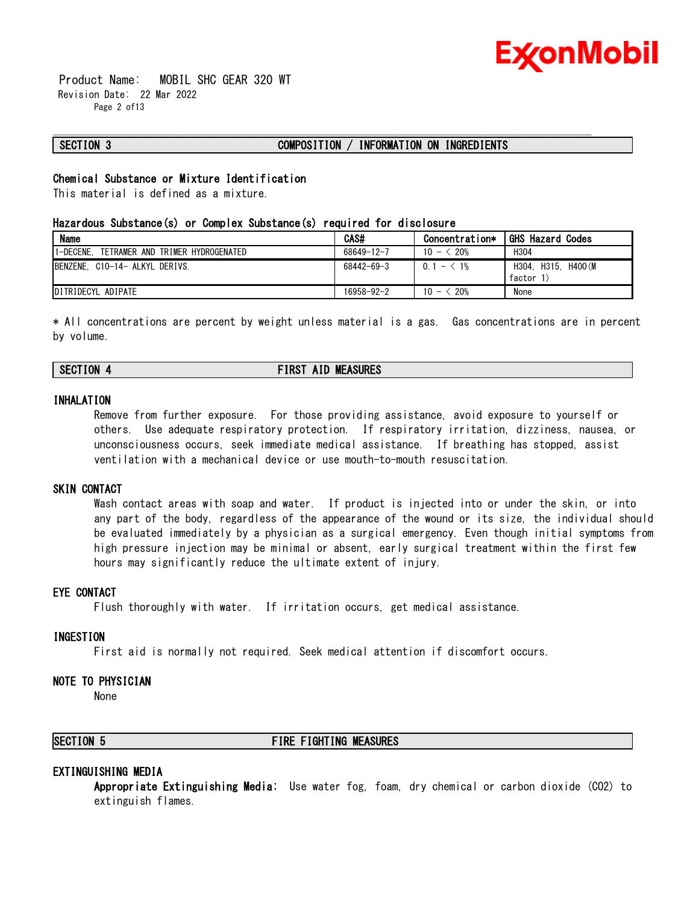

 Product Name: MOBIL SHC GEAR 320 WT Revision Date: 22 Mar 2022 Page 2 of13

#### **SECTION 3 COMPOSITION / INFORMATION ON INGREDIENTS**

\_\_\_\_\_\_\_\_\_\_\_\_\_\_\_\_\_\_\_\_\_\_\_\_\_\_\_\_\_\_\_\_\_\_\_\_\_\_\_\_\_\_\_\_\_\_\_\_\_\_\_\_\_\_\_\_\_\_\_\_\_\_\_\_\_\_\_\_\_\_\_\_\_\_\_\_\_\_\_\_\_\_\_\_\_\_\_\_\_\_\_\_\_\_\_\_\_\_\_\_\_\_\_\_\_\_\_\_\_\_\_\_\_\_\_\_\_\_

#### **Chemical Substance or Mixture Identification**

This material is defined as a mixture.

#### **Hazardous Substance(s) or Complex Substance(s) required for disclosure**

| <b>Name</b>                                   | <b>CAS#</b>      | Concentration*                        | <b>GHS Hazard Codes</b>                |
|-----------------------------------------------|------------------|---------------------------------------|----------------------------------------|
| 1-DECENE.<br>TETRAMER AND TRIMER HYDROGENATED | 68649-12-7       | $10 - \le 20\%$                       | H <sub>304</sub>                       |
| BENZENE, C10-14- ALKYL DERIVS.                | $68442 - 69 - 3$ | $0.1 - 1\%$                           | H400 (M<br>H315.<br>H304.<br>factor 1) |
| DITRIDECYL ADIPATE                            | 16958-92-2       | $\frac{20\%}{20\%}$<br>$10 - \langle$ | None                                   |

\* All concentrations are percent by weight unless material is a gas. Gas concentrations are in percent by volume.

### **SECTION 4 FIRST AID MEASURES**

#### **INHALATION**

Remove from further exposure. For those providing assistance, avoid exposure to yourself or others. Use adequate respiratory protection. If respiratory irritation, dizziness, nausea, or unconsciousness occurs, seek immediate medical assistance. If breathing has stopped, assist ventilation with a mechanical device or use mouth-to-mouth resuscitation.

#### **SKIN CONTACT**

Wash contact areas with soap and water. If product is injected into or under the skin, or into any part of the body, regardless of the appearance of the wound or its size, the individual should be evaluated immediately by a physician as a surgical emergency. Even though initial symptoms from high pressure injection may be minimal or absent, early surgical treatment within the first few hours may significantly reduce the ultimate extent of injury.

#### **EYE CONTACT**

Flush thoroughly with water. If irritation occurs, get medical assistance.

#### **INGESTION**

First aid is normally not required. Seek medical attention if discomfort occurs.

#### **NOTE TO PHYSICIAN**

None

#### **SECTION 5 FIRE FIGHTING MEASURES**

#### **EXTINGUISHING MEDIA**

**Appropriate Extinguishing Media:** Use water fog, foam, dry chemical or carbon dioxide (CO2) to extinguish flames.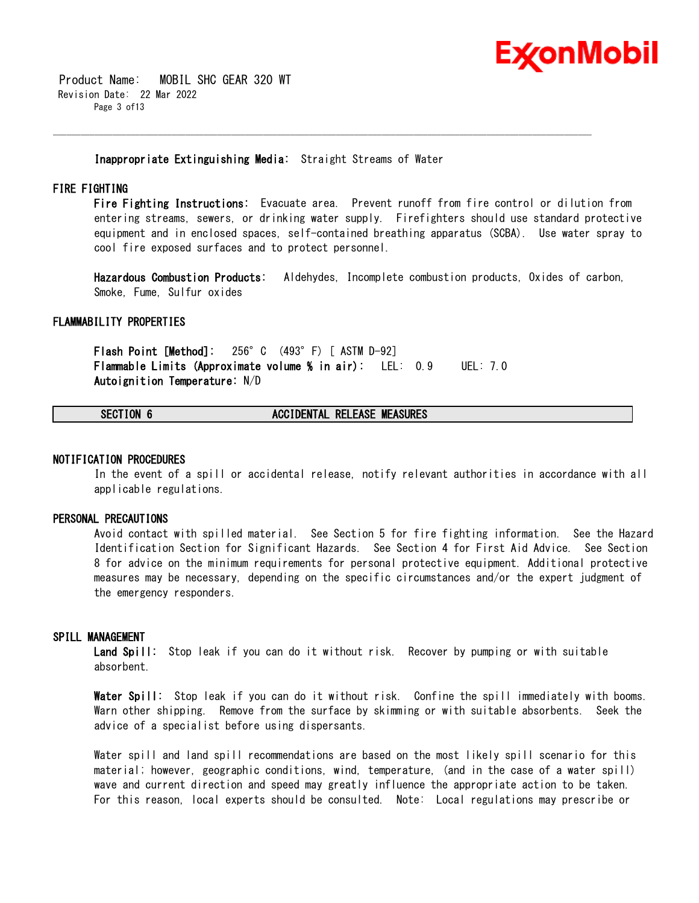

 Product Name: MOBIL SHC GEAR 320 WT Revision Date: 22 Mar 2022 Page 3 of13

#### **Inappropriate Extinguishing Media:** Straight Streams of Water

\_\_\_\_\_\_\_\_\_\_\_\_\_\_\_\_\_\_\_\_\_\_\_\_\_\_\_\_\_\_\_\_\_\_\_\_\_\_\_\_\_\_\_\_\_\_\_\_\_\_\_\_\_\_\_\_\_\_\_\_\_\_\_\_\_\_\_\_\_\_\_\_\_\_\_\_\_\_\_\_\_\_\_\_\_\_\_\_\_\_\_\_\_\_\_\_\_\_\_\_\_\_\_\_\_\_\_\_\_\_\_\_\_\_\_\_\_\_

#### **FIRE FIGHTING**

**Fire Fighting Instructions:** Evacuate area. Prevent runoff from fire control or dilution from entering streams, sewers, or drinking water supply. Firefighters should use standard protective equipment and in enclosed spaces, self-contained breathing apparatus (SCBA). Use water spray to cool fire exposed surfaces and to protect personnel.

**Hazardous Combustion Products:** Aldehydes, Incomplete combustion products, Oxides of carbon, Smoke, Fume, Sulfur oxides

#### **FLAMMABILITY PROPERTIES**

**Flash Point [Method]:** 256°C (493°F) [ ASTM D-92] **Flammable Limits (Approximate volume % in air):** LEL: 0.9 UEL: 7.0 **Autoignition Temperature:** N/D

### **SECTION 6 ACCIDENTAL RELEASE MEASURES**

#### **NOTIFICATION PROCEDURES**

In the event of a spill or accidental release, notify relevant authorities in accordance with all applicable regulations.

#### **PERSONAL PRECAUTIONS**

Avoid contact with spilled material. See Section 5 for fire fighting information. See the Hazard Identification Section for Significant Hazards. See Section 4 for First Aid Advice. See Section 8 for advice on the minimum requirements for personal protective equipment. Additional protective measures may be necessary, depending on the specific circumstances and/or the expert judgment of the emergency responders.

#### **SPILL MANAGEMENT**

**Land Spill:** Stop leak if you can do it without risk. Recover by pumping or with suitable absorbent.

**Water Spill:** Stop leak if you can do it without risk. Confine the spill immediately with booms. Warn other shipping. Remove from the surface by skimming or with suitable absorbents. Seek the advice of a specialist before using dispersants.

Water spill and land spill recommendations are based on the most likely spill scenario for this material; however, geographic conditions, wind, temperature, (and in the case of a water spill) wave and current direction and speed may greatly influence the appropriate action to be taken. For this reason, local experts should be consulted. Note: Local regulations may prescribe or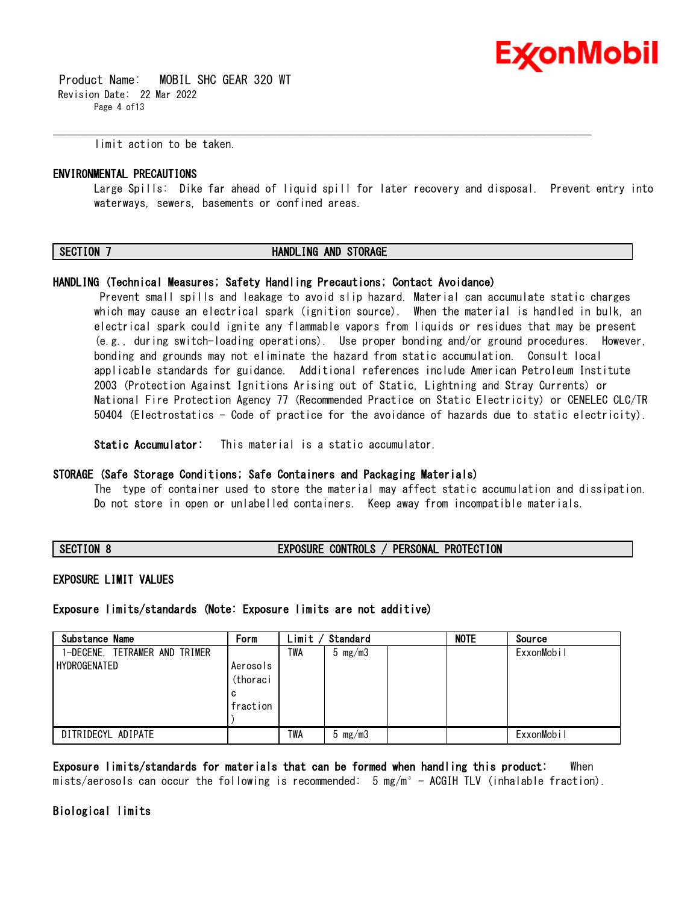

 Product Name: MOBIL SHC GEAR 320 WT Revision Date: 22 Mar 2022 Page 4 of13

limit action to be taken.

#### **ENVIRONMENTAL PRECAUTIONS**

Large Spills: Dike far ahead of liquid spill for later recovery and disposal. Prevent entry into waterways, sewers, basements or confined areas.

#### **SECTION 7 HANDLING AND STORAGE**

\_\_\_\_\_\_\_\_\_\_\_\_\_\_\_\_\_\_\_\_\_\_\_\_\_\_\_\_\_\_\_\_\_\_\_\_\_\_\_\_\_\_\_\_\_\_\_\_\_\_\_\_\_\_\_\_\_\_\_\_\_\_\_\_\_\_\_\_\_\_\_\_\_\_\_\_\_\_\_\_\_\_\_\_\_\_\_\_\_\_\_\_\_\_\_\_\_\_\_\_\_\_\_\_\_\_\_\_\_\_\_\_\_\_\_\_\_\_

#### **HANDLING (Technical Measures; Safety Handling Precautions; Contact Avoidance)**

Prevent small spills and leakage to avoid slip hazard. Material can accumulate static charges which may cause an electrical spark (ignition source). When the material is handled in bulk, an electrical spark could ignite any flammable vapors from liquids or residues that may be present (e.g., during switch-loading operations). Use proper bonding and/or ground procedures. However, bonding and grounds may not eliminate the hazard from static accumulation. Consult local applicable standards for guidance. Additional references include American Petroleum Institute 2003 (Protection Against Ignitions Arising out of Static, Lightning and Stray Currents) or National Fire Protection Agency 77 (Recommended Practice on Static Electricity) or CENELEC CLC/TR 50404 (Electrostatics - Code of practice for the avoidance of hazards due to static electricity).

**Static Accumulator:** This material is a static accumulator.

#### **STORAGE (Safe Storage Conditions; Safe Containers and Packaging Materials)**

The type of container used to store the material may affect static accumulation and dissipation. Do not store in open or unlabelled containers. Keep away from incompatible materials.

**SECTION 8 EXPOSURE CONTROLS / PERSONAL PROTECTION**

#### **EXPOSURE LIMIT VALUES**

**Exposure limits/standards (Note: Exposure limits are not additive)**

| Substance Name                | Form     | Limit | Standard           | <b>NOTE</b> | Source     |
|-------------------------------|----------|-------|--------------------|-------------|------------|
| 1-DECENE, TETRAMER AND TRIMER |          | TWA   | $5 \text{ mg/m}$ 3 |             | ExxonMobil |
| HYDROGENATED                  | Aerosols |       |                    |             |            |
|                               | (thoraci |       |                    |             |            |
|                               | c        |       |                    |             |            |
|                               | fraction |       |                    |             |            |
|                               |          |       |                    |             |            |
| DITRIDECYL ADIPATE            |          | TWA   | $5 \text{ mg/m}$ 3 |             | ExxonMobil |

**Exposure limits/standards for materials that can be formed when handling this product:** When mists/aerosols can occur the following is recommended:  $5 \text{ mg/m}^3$  - ACGIH TLV (inhalable fraction).

#### **Biological limits**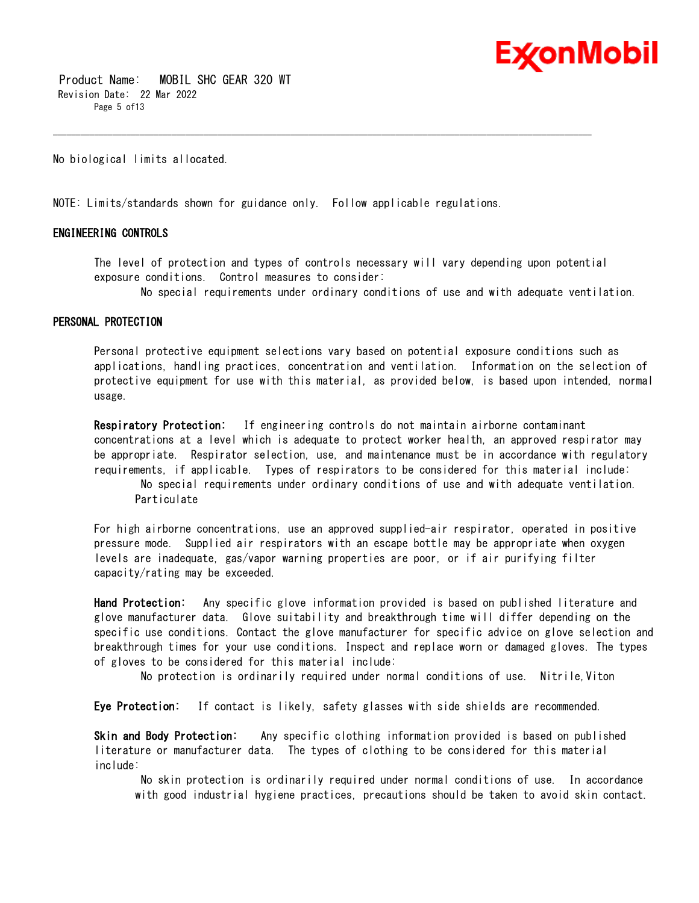

 Product Name: MOBIL SHC GEAR 320 WT Revision Date: 22 Mar 2022 Page 5 of13

No biological limits allocated.

NOTE: Limits/standards shown for guidance only. Follow applicable regulations.

#### **ENGINEERING CONTROLS**

The level of protection and types of controls necessary will vary depending upon potential exposure conditions. Control measures to consider:

\_\_\_\_\_\_\_\_\_\_\_\_\_\_\_\_\_\_\_\_\_\_\_\_\_\_\_\_\_\_\_\_\_\_\_\_\_\_\_\_\_\_\_\_\_\_\_\_\_\_\_\_\_\_\_\_\_\_\_\_\_\_\_\_\_\_\_\_\_\_\_\_\_\_\_\_\_\_\_\_\_\_\_\_\_\_\_\_\_\_\_\_\_\_\_\_\_\_\_\_\_\_\_\_\_\_\_\_\_\_\_\_\_\_\_\_\_\_

No special requirements under ordinary conditions of use and with adequate ventilation.

#### **PERSONAL PROTECTION**

Personal protective equipment selections vary based on potential exposure conditions such as applications, handling practices, concentration and ventilation. Information on the selection of protective equipment for use with this material, as provided below, is based upon intended, normal usage.

**Respiratory Protection:** If engineering controls do not maintain airborne contaminant concentrations at a level which is adequate to protect worker health, an approved respirator may be appropriate. Respirator selection, use, and maintenance must be in accordance with regulatory requirements, if applicable. Types of respirators to be considered for this material include:

No special requirements under ordinary conditions of use and with adequate ventilation. Particulate

For high airborne concentrations, use an approved supplied-air respirator, operated in positive pressure mode. Supplied air respirators with an escape bottle may be appropriate when oxygen levels are inadequate, gas/vapor warning properties are poor, or if air purifying filter capacity/rating may be exceeded.

**Hand Protection:** Any specific glove information provided is based on published literature and glove manufacturer data. Glove suitability and breakthrough time will differ depending on the specific use conditions. Contact the glove manufacturer for specific advice on glove selection and breakthrough times for your use conditions. Inspect and replace worn or damaged gloves. The types of gloves to be considered for this material include:

No protection is ordinarily required under normal conditions of use. Nitrile,Viton

**Eye Protection:** If contact is likely, safety glasses with side shields are recommended.

**Skin and Body Protection:** Any specific clothing information provided is based on published literature or manufacturer data. The types of clothing to be considered for this material include:

No skin protection is ordinarily required under normal conditions of use. In accordance with good industrial hygiene practices, precautions should be taken to avoid skin contact.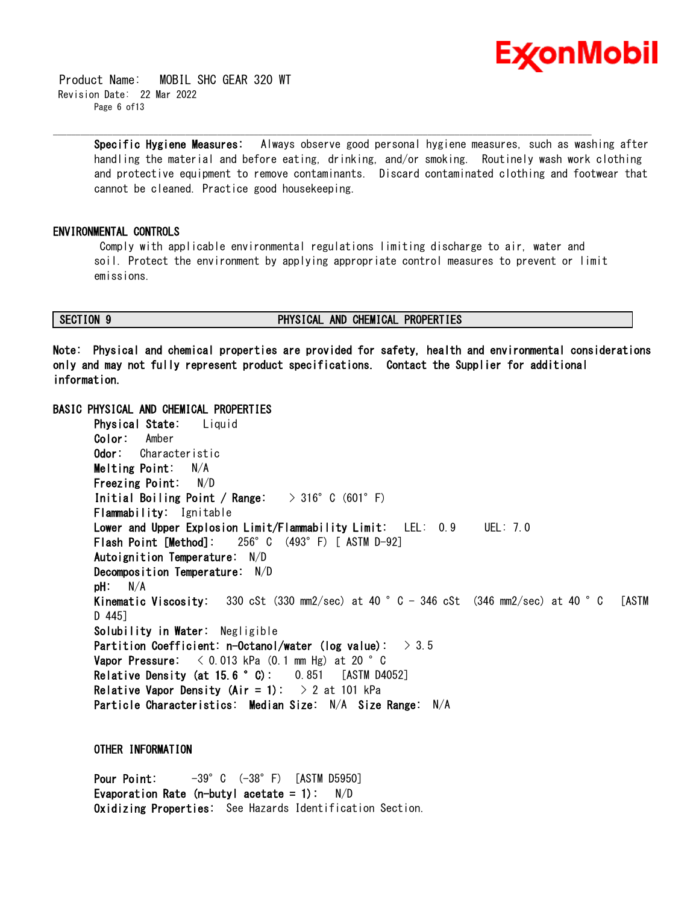

 Product Name: MOBIL SHC GEAR 320 WT Revision Date: 22 Mar 2022 Page 6 of13

> **Specific Hygiene Measures:** Always observe good personal hygiene measures, such as washing after handling the material and before eating, drinking, and/or smoking. Routinely wash work clothing and protective equipment to remove contaminants. Discard contaminated clothing and footwear that cannot be cleaned. Practice good housekeeping.

#### **ENVIRONMENTAL CONTROLS**

Comply with applicable environmental regulations limiting discharge to air, water and soil. Protect the environment by applying appropriate control measures to prevent or limit emissions.

\_\_\_\_\_\_\_\_\_\_\_\_\_\_\_\_\_\_\_\_\_\_\_\_\_\_\_\_\_\_\_\_\_\_\_\_\_\_\_\_\_\_\_\_\_\_\_\_\_\_\_\_\_\_\_\_\_\_\_\_\_\_\_\_\_\_\_\_\_\_\_\_\_\_\_\_\_\_\_\_\_\_\_\_\_\_\_\_\_\_\_\_\_\_\_\_\_\_\_\_\_\_\_\_\_\_\_\_\_\_\_\_\_\_\_\_\_\_

### **SECTION 9 PHYSICAL AND CHEMICAL PROPERTIES**

**Note: Physical and chemical properties are provided for safety, health and environmental considerations only and may not fully represent product specifications. Contact the Supplier for additional information.**

#### **BASIC PHYSICAL AND CHEMICAL PROPERTIES**

**Physical State:** Liquid **Color:** Amber **Odor:** Characteristic **Melting Point:** N/A **Freezing Point:** N/D **Initial Boiling Point / Range:** > 316°C (601°F) **Flammability:** Ignitable **Lower and Upper Explosion Limit/Flammability Limit:** LEL: 0.9 UEL: 7.0 **Flash Point [Method]:** 256°C (493°F) [ ASTM D-92] **Autoignition Temperature:** N/D **Decomposition Temperature:** N/D **pH:** N/A **Kinematic Viscosity:** 330 cSt (330 mm2/sec) at 40 °C - 346 cSt (346 mm2/sec) at 40 °C [ASTM D 445] **Solubility in Water:** Negligible **Partition Coefficient: n-Octanol/water (log value):** > 3.5 **Vapor Pressure:** < 0.013 kPa (0.1 mm Hg) at 20 °C **Relative Density (at 15.6 °C):** 0.851 [ASTM D4052] **Relative Vapor Density (Air = 1):** > 2 at 101 kPa **Particle Characteristics: Median Size:** N/A **Size Range:** N/A

**OTHER INFORMATION**

**Pour Point:** -39°C (-38°F) [ASTM D5950] **Evaporation Rate (n-butyl acetate = 1):** N/D **Oxidizing Properties:** See Hazards Identification Section.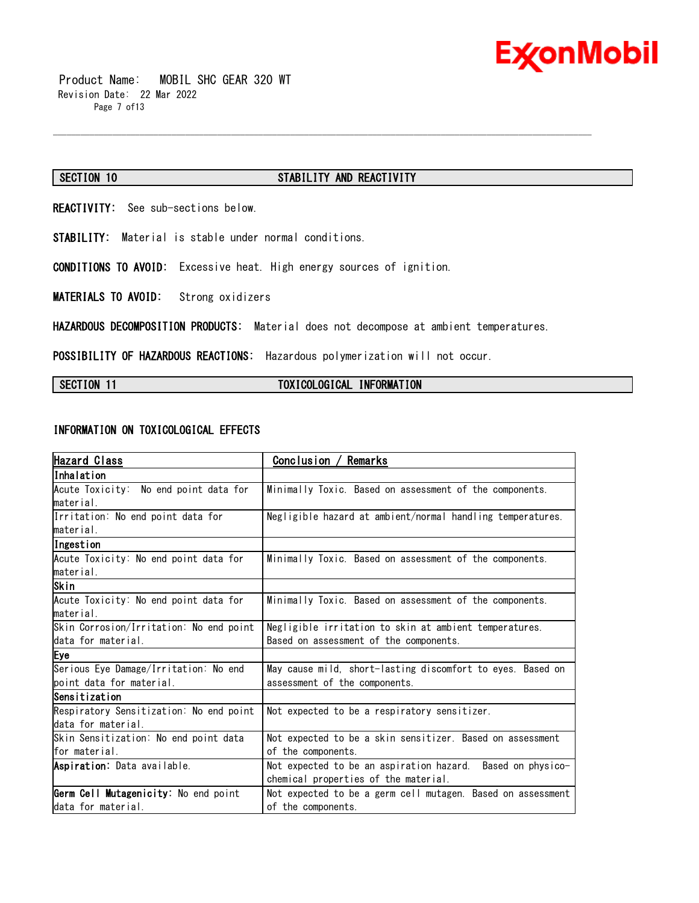

 Product Name: MOBIL SHC GEAR 320 WT Revision Date: 22 Mar 2022 Page 7 of13

### **SECTION 10 STABILITY AND REACTIVITY**

**REACTIVITY:** See sub-sections below.

**STABILITY:** Material is stable under normal conditions.

**CONDITIONS TO AVOID:** Excessive heat. High energy sources of ignition.

**MATERIALS TO AVOID:** Strong oxidizers

**HAZARDOUS DECOMPOSITION PRODUCTS:** Material does not decompose at ambient temperatures.

\_\_\_\_\_\_\_\_\_\_\_\_\_\_\_\_\_\_\_\_\_\_\_\_\_\_\_\_\_\_\_\_\_\_\_\_\_\_\_\_\_\_\_\_\_\_\_\_\_\_\_\_\_\_\_\_\_\_\_\_\_\_\_\_\_\_\_\_\_\_\_\_\_\_\_\_\_\_\_\_\_\_\_\_\_\_\_\_\_\_\_\_\_\_\_\_\_\_\_\_\_\_\_\_\_\_\_\_\_\_\_\_\_\_\_\_\_\_

**POSSIBILITY OF HAZARDOUS REACTIONS:** Hazardous polymerization will not occur.

#### SECTION 11 **TOXICOLOGICAL INFORMATION**

### **INFORMATION ON TOXICOLOGICAL EFFECTS**

| Hazard Class                            | ' Remarks<br>Conclusion /                                   |  |  |
|-----------------------------------------|-------------------------------------------------------------|--|--|
| lInhalation                             |                                                             |  |  |
| Acute Toxicity: No end point data for   | Minimally Toxic. Based on assessment of the components.     |  |  |
| lmaterial.                              |                                                             |  |  |
| Irritation: No end point data for       | Negligible hazard at ambient/normal handling temperatures.  |  |  |
| material.                               |                                                             |  |  |
| Ingestion                               |                                                             |  |  |
| Acute Toxicity: No end point data for   | Minimally Toxic. Based on assessment of the components.     |  |  |
| material.                               |                                                             |  |  |
| Skin                                    |                                                             |  |  |
| Acute Toxicity: No end point data for   | Minimally Toxic. Based on assessment of the components.     |  |  |
| lmaterial.                              |                                                             |  |  |
| Skin Corrosion/Irritation: No end point | Negligible irritation to skin at ambient temperatures.      |  |  |
| data for material.                      | Based on assessment of the components.                      |  |  |
| Eye                                     |                                                             |  |  |
| Serious Eye Damage/Irritation: No end   | May cause mild, short-lasting discomfort to eyes. Based on  |  |  |
| point data for material.                | assessment of the components.                               |  |  |
| Sensitization                           |                                                             |  |  |
| Respiratory Sensitization: No end point | Not expected to be a respiratory sensitizer.                |  |  |
| data for material.                      |                                                             |  |  |
| Skin Sensitization: No end point data   | Not expected to be a skin sensitizer. Based on assessment   |  |  |
| for material.                           | of the components.                                          |  |  |
| Aspiration: Data available.             | Not expected to be an aspiration hazard. Based on physico-  |  |  |
|                                         | chemical properties of the material.                        |  |  |
| Germ Cell Mutagenicity: No end point    | Not expected to be a germ cell mutagen. Based on assessment |  |  |
| data for material.                      | of the components.                                          |  |  |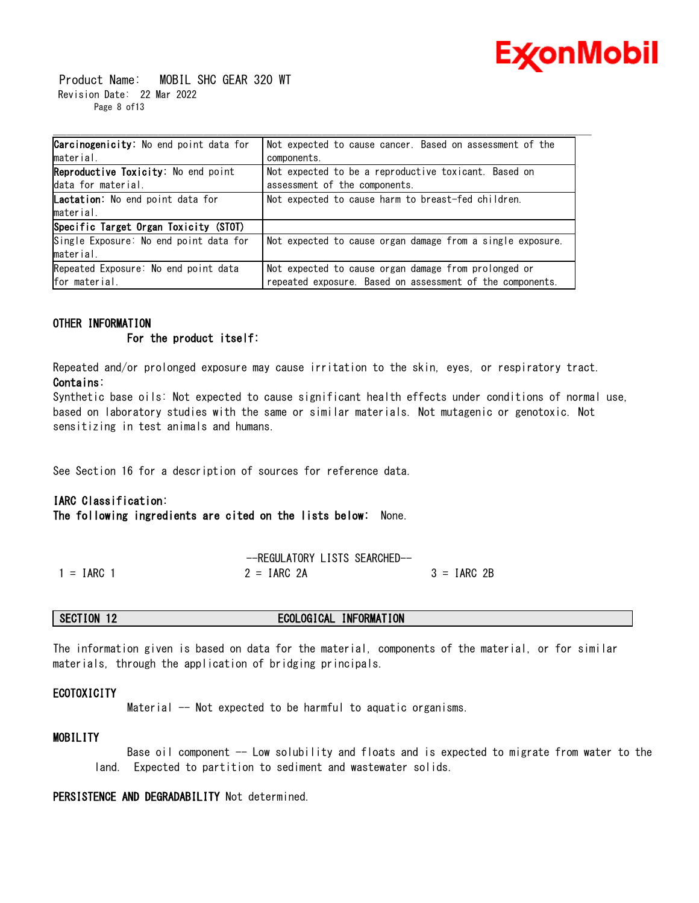

 Product Name: MOBIL SHC GEAR 320 WT Revision Date: 22 Mar 2022 Page 8 of13

| <b>Carcinogenicity:</b> No end point data for | Not expected to cause cancer. Based on assessment of the   |
|-----------------------------------------------|------------------------------------------------------------|
| material.                                     | components.                                                |
| Reproductive Toxicity: No end point           | Not expected to be a reproductive toxicant. Based on       |
| data for material.                            | assessment of the components.                              |
| <b>Lactation:</b> No end point data for       | Not expected to cause harm to breast-fed children.         |
| material.                                     |                                                            |
| Specific Target Organ Toxicity (STOT)         |                                                            |
| Single Exposure: No end point data for        | Not expected to cause organ damage from a single exposure. |
| material.                                     |                                                            |
| Repeated Exposure: No end point data          | Not expected to cause organ damage from prolonged or       |
| for material.                                 | repeated exposure. Based on assessment of the components.  |

#### **OTHER INFORMATION**

#### **For the product itself:**

Repeated and/or prolonged exposure may cause irritation to the skin, eyes, or respiratory tract. **Contains:**

Synthetic base oils: Not expected to cause significant health effects under conditions of normal use, based on laboratory studies with the same or similar materials. Not mutagenic or genotoxic. Not sensitizing in test animals and humans.

See Section 16 for a description of sources for reference data.

#### **IARC Classification:**

**The following ingredients are cited on the lists below:** None.

|              | --REGULATORY LISTS SEARCHED- |               |
|--------------|------------------------------|---------------|
| $1 = IARC$ 1 | $2 = IARC$ 2A                | $3 = IARC 2B$ |

#### **SECTION 12 ECOLOGICAL INFORMATION**

The information given is based on data for the material, components of the material, or for similar materials, through the application of bridging principals.

#### **ECOTOXICITY**

Material -- Not expected to be harmful to aquatic organisms.

### **MOBILITY**

 Base oil component -- Low solubility and floats and is expected to migrate from water to the land. Expected to partition to sediment and wastewater solids.

### **PERSISTENCE AND DEGRADABILITY** Not determined.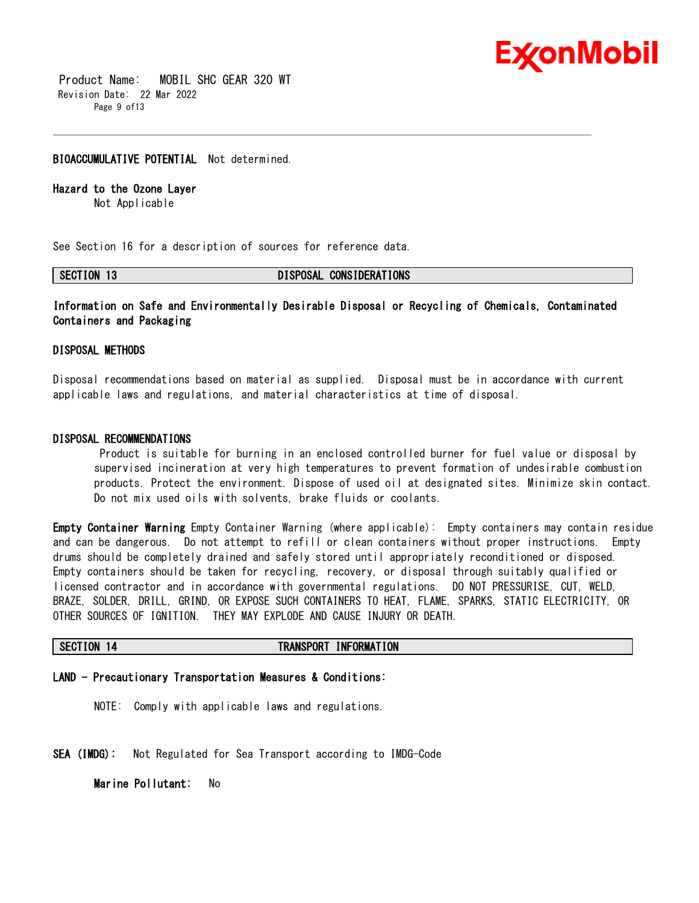

 Product Name: MOBIL SHC GEAR 320 WT Revision Date: 22 Mar 2022 Page 9 of13

#### **BIOACCUMULATIVE POTENTIAL** Not determined.

#### **Hazard to the Ozone Layer**

Not Applicable

See Section 16 for a description of sources for reference data.

**SECTION 13 DISPOSAL CONSIDERATIONS**

### **Information on Safe and Environmentally Desirable Disposal or Recycling of Chemicals, Contaminated Containers and Packaging**

\_\_\_\_\_\_\_\_\_\_\_\_\_\_\_\_\_\_\_\_\_\_\_\_\_\_\_\_\_\_\_\_\_\_\_\_\_\_\_\_\_\_\_\_\_\_\_\_\_\_\_\_\_\_\_\_\_\_\_\_\_\_\_\_\_\_\_\_\_\_\_\_\_\_\_\_\_\_\_\_\_\_\_\_\_\_\_\_\_\_\_\_\_\_\_\_\_\_\_\_\_\_\_\_\_\_\_\_\_\_\_\_\_\_\_\_\_\_

#### **DISPOSAL METHODS**

Disposal recommendations based on material as supplied. Disposal must be in accordance with current applicable laws and regulations, and material characteristics at time of disposal.

#### **DISPOSAL RECOMMENDATIONS**

Product is suitable for burning in an enclosed controlled burner for fuel value or disposal by supervised incineration at very high temperatures to prevent formation of undesirable combustion products. Protect the environment. Dispose of used oil at designated sites. Minimize skin contact. Do not mix used oils with solvents, brake fluids or coolants.

**Empty Container Warning** Empty Container Warning (where applicable): Empty containers may contain residue and can be dangerous. Do not attempt to refill or clean containers without proper instructions. Empty drums should be completely drained and safely stored until appropriately reconditioned or disposed. Empty containers should be taken for recycling, recovery, or disposal through suitably qualified or licensed contractor and in accordance with governmental regulations. DO NOT PRESSURISE, CUT, WELD, BRAZE, SOLDER, DRILL, GRIND, OR EXPOSE SUCH CONTAINERS TO HEAT, FLAME, SPARKS, STATIC ELECTRICITY, OR OTHER SOURCES OF IGNITION. THEY MAY EXPLODE AND CAUSE INJURY OR DEATH.

#### **SECTION 14 TRANSPORT INFORMATION**

### **LAND - Precautionary Transportation Measures & Conditions:**

NOTE: Comply with applicable laws and regulations.

**SEA (IMDG):** Not Regulated for Sea Transport according to IMDG-Code

**Marine Pollutant:** No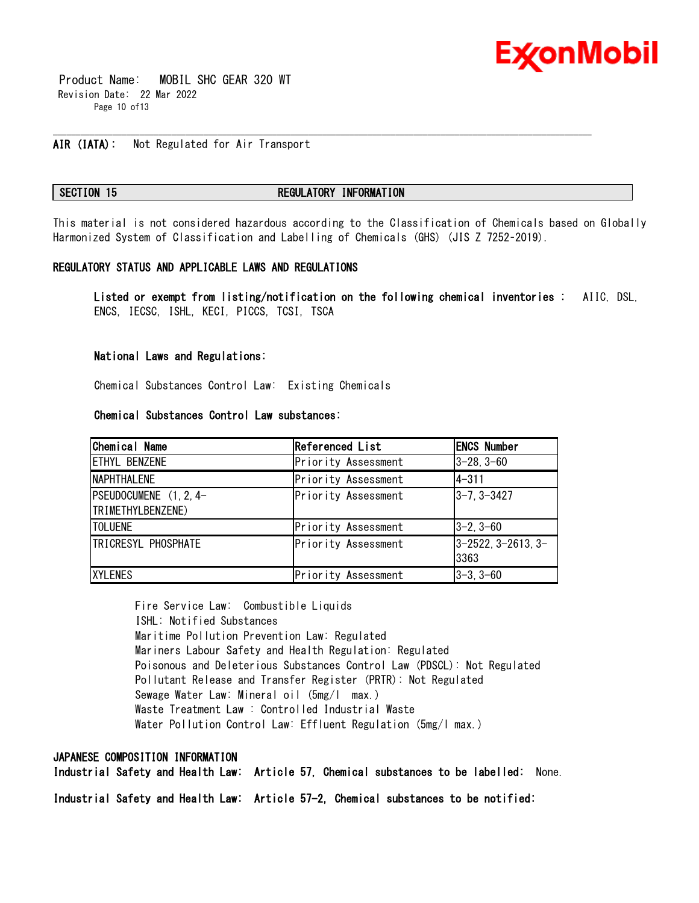

 Product Name: MOBIL SHC GEAR 320 WT Revision Date: 22 Mar 2022 Page 10 of13

### **AIR (IATA):** Not Regulated for Air Transport

#### **SECTION 15 REGULATORY INFORMATION**

\_\_\_\_\_\_\_\_\_\_\_\_\_\_\_\_\_\_\_\_\_\_\_\_\_\_\_\_\_\_\_\_\_\_\_\_\_\_\_\_\_\_\_\_\_\_\_\_\_\_\_\_\_\_\_\_\_\_\_\_\_\_\_\_\_\_\_\_\_\_\_\_\_\_\_\_\_\_\_\_\_\_\_\_\_\_\_\_\_\_\_\_\_\_\_\_\_\_\_\_\_\_\_\_\_\_\_\_\_\_\_\_\_\_\_\_\_\_

This material is not considered hazardous according to the Classification of Chemicals based on Globally Harmonized System of Classification and Labelling of Chemicals (GHS) (JIS Z 7252–2019).

#### **REGULATORY STATUS AND APPLICABLE LAWS AND REGULATIONS**

**Listed or exempt from listing/notification on the following chemical inventories :** AIIC, DSL, ENCS, IECSC, ISHL, KECI, PICCS, TCSI, TSCA

#### **National Laws and Regulations:**

Chemical Substances Control Law: Existing Chemicals

#### **Chemical Substances Control Law substances:**

| Chemical Name                               | Referenced List     | <b>ENCS Number</b>         |
|---------------------------------------------|---------------------|----------------------------|
| <b>ETHYL BENZENE</b>                        | Priority Assessment | $3 - 28, 3 - 60$           |
| <b>NAPHTHALENE</b>                          | Priority Assessment | $4 - 311$                  |
| PSEUDOCUMENE (1, 2, 4-<br>TRIMETHYLBENZENE) | Priority Assessment | 3-7, 3-3427                |
| <b>TOLUENE</b>                              | Priority Assessment | 3-2.3-60                   |
| <b>TRICRESYL PHOSPHATE</b>                  | Priority Assessment | 3-2522, 3-2613, 3-<br>3363 |
| <b>XYLENES</b>                              | Priority Assessment | 3–3.3–60                   |

Fire Service Law: Combustible Liquids ISHL: Notified Substances Maritime Pollution Prevention Law: Regulated Mariners Labour Safety and Health Regulation: Regulated Poisonous and Deleterious Substances Control Law (PDSCL): Not Regulated Pollutant Release and Transfer Register (PRTR): Not Regulated Sewage Water Law: Mineral oil (5mg/l max.) Waste Treatment Law : Controlled Industrial Waste Water Pollution Control Law: Effluent Regulation (5mg/l max.)

#### **JAPANESE COMPOSITION INFORMATION**

**Industrial Safety and Health Law: Article 57, Chemical substances to be labelled:** None.

**Industrial Safety and Health Law: Article 57-2, Chemical substances to be notified:**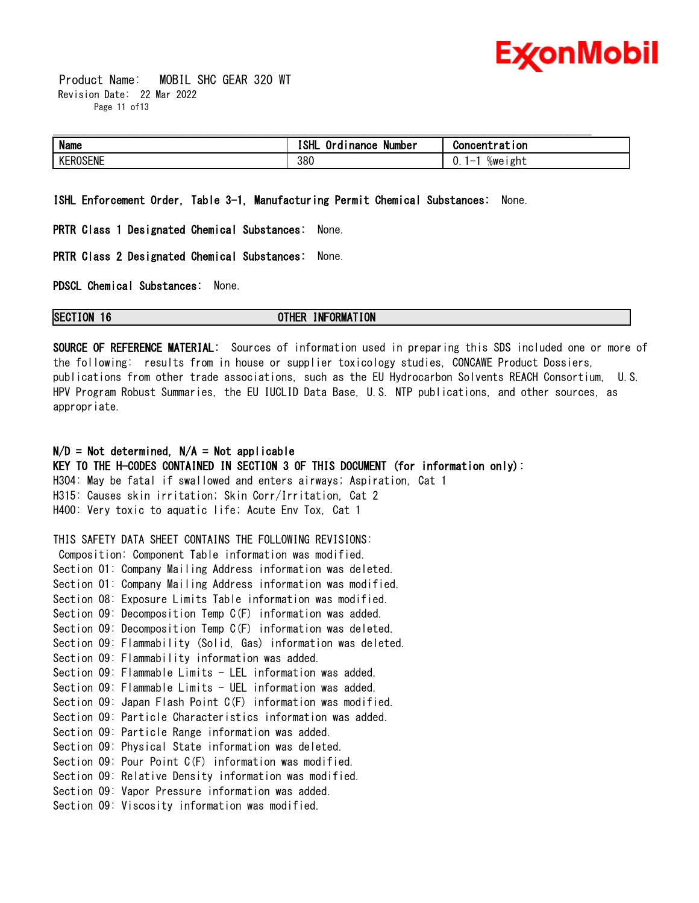

 Product Name: MOBIL SHC GEAR 320 WT Revision Date: 22 Mar 2022 Page 11 of 13

| <b>Name</b> | $\sim$ $\sim$<br>. .<br>ISHI<br>Number<br>ı nance<br>0r | Ton                |
|-------------|---------------------------------------------------------|--------------------|
| v<br>ROSENE | 380                                                     | 0<br>%weıght<br>v. |

**ISHL Enforcement Order, Table 3-1, Manufacturing Permit Chemical Substances:** None.

**PRTR Class 1 Designated Chemical Substances:** None.

**PRTR Class 2 Designated Chemical Substances:** None.

**PDSCL Chemical Substances:** None.

**SECTION 16 OTHER INFORMATION**

**SOURCE OF REFERENCE MATERIAL:** Sources of information used in preparing this SDS included one or more of the following: results from in house or supplier toxicology studies, CONCAWE Product Dossiers, publications from other trade associations, such as the EU Hydrocarbon Solvents REACH Consortium, U.S. HPV Program Robust Summaries, the EU IUCLID Data Base, U.S. NTP publications, and other sources, as appropriate.

### **N/D = Not determined, N/A = Not applicable**

**KEY TO THE H-CODES CONTAINED IN SECTION 3 OF THIS DOCUMENT (for information only):** H304: May be fatal if swallowed and enters airways; Aspiration, Cat 1 H315: Causes skin irritation; Skin Corr/Irritation, Cat 2 H400: Very toxic to aquatic life; Acute Env Tox, Cat 1

THIS SAFETY DATA SHEET CONTAINS THE FOLLOWING REVISIONS:

Composition: Component Table information was modified. Section 01: Company Mailing Address information was deleted. Section 01: Company Mailing Address information was modified. Section 08: Exposure Limits Table information was modified. Section 09: Decomposition Temp C(F) information was added. Section 09: Decomposition Temp C(F) information was deleted. Section 09: Flammability (Solid, Gas) information was deleted. Section 09: Flammability information was added. Section 09: Flammable Limits - LEL information was added. Section 09: Flammable Limits - UEL information was added. Section 09: Japan Flash Point C(F) information was modified. Section 09: Particle Characteristics information was added. Section 09: Particle Range information was added. Section 09: Physical State information was deleted. Section 09: Pour Point C(F) information was modified. Section 09: Relative Density information was modified. Section 09: Vapor Pressure information was added. Section 09: Viscosity information was modified.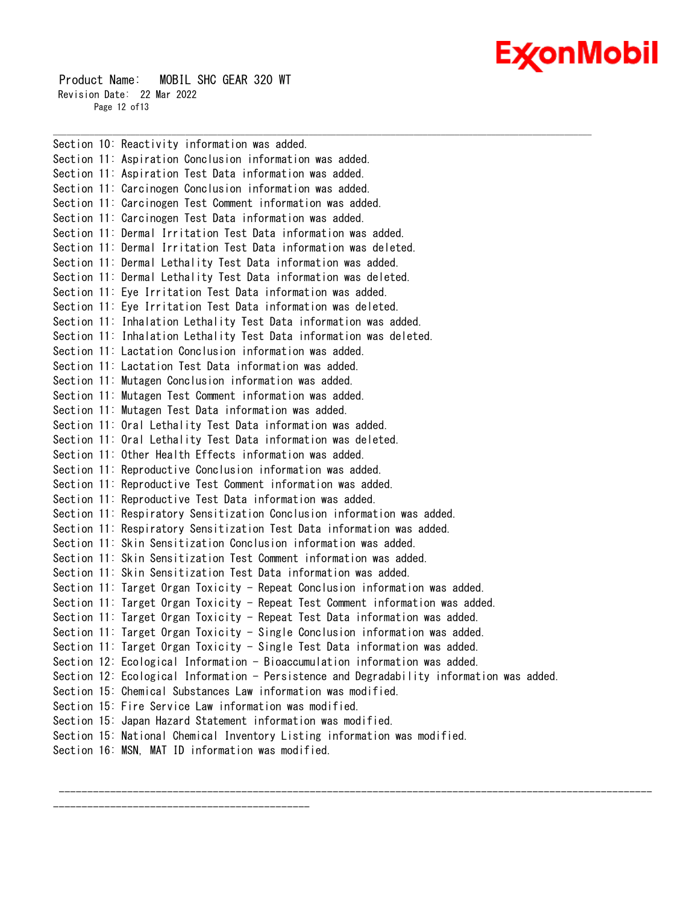# Ex⁄onMobil

 Product Name: MOBIL SHC GEAR 320 WT Revision Date: 22 Mar 2022 Page 12 of13

---------------------------------------------

Section 10: Reactivity information was added. Section 11: Aspiration Conclusion information was added. Section 11: Aspiration Test Data information was added. Section 11: Carcinogen Conclusion information was added. Section 11: Carcinogen Test Comment information was added. Section 11: Carcinogen Test Data information was added. Section 11: Dermal Irritation Test Data information was added. Section 11: Dermal Irritation Test Data information was deleted. Section 11: Dermal Lethality Test Data information was added. Section 11: Dermal Lethality Test Data information was deleted. Section 11: Eye Irritation Test Data information was added. Section 11: Eye Irritation Test Data information was deleted. Section 11: Inhalation Lethality Test Data information was added. Section 11: Inhalation Lethality Test Data information was deleted. Section 11: Lactation Conclusion information was added. Section 11: Lactation Test Data information was added. Section 11: Mutagen Conclusion information was added. Section 11: Mutagen Test Comment information was added. Section 11: Mutagen Test Data information was added. Section 11: Oral Lethality Test Data information was added. Section 11: Oral Lethality Test Data information was deleted. Section 11: Other Health Effects information was added. Section 11: Reproductive Conclusion information was added. Section 11: Reproductive Test Comment information was added. Section 11: Reproductive Test Data information was added. Section 11: Respiratory Sensitization Conclusion information was added. Section 11: Respiratory Sensitization Test Data information was added. Section 11: Skin Sensitization Conclusion information was added. Section 11: Skin Sensitization Test Comment information was added. Section 11: Skin Sensitization Test Data information was added. Section 11: Target Organ Toxicity - Repeat Conclusion information was added. Section 11: Target Organ Toxicity - Repeat Test Comment information was added. Section 11: Target Organ Toxicity - Repeat Test Data information was added. Section 11: Target Organ Toxicity - Single Conclusion information was added. Section 11: Target Organ Toxicity - Single Test Data information was added. Section 12: Ecological Information - Bioaccumulation information was added. Section 12: Ecological Information - Persistence and Degradability information was added. Section 15: Chemical Substances Law information was modified. Section 15: Fire Service Law information was modified. Section 15: Japan Hazard Statement information was modified. Section 15: National Chemical Inventory Listing information was modified. Section 16: MSN, MAT ID information was modified.

--------------------------------------------------------------------------------------------------------

\_\_\_\_\_\_\_\_\_\_\_\_\_\_\_\_\_\_\_\_\_\_\_\_\_\_\_\_\_\_\_\_\_\_\_\_\_\_\_\_\_\_\_\_\_\_\_\_\_\_\_\_\_\_\_\_\_\_\_\_\_\_\_\_\_\_\_\_\_\_\_\_\_\_\_\_\_\_\_\_\_\_\_\_\_\_\_\_\_\_\_\_\_\_\_\_\_\_\_\_\_\_\_\_\_\_\_\_\_\_\_\_\_\_\_\_\_\_